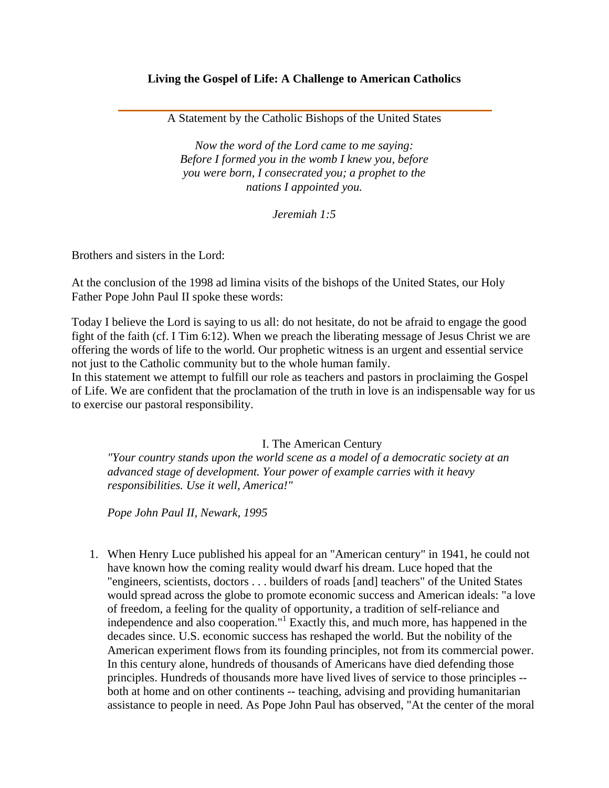## **Living the Gospel of Life: A Challenge to American Catholics**

A Statement by the Catholic Bishops of the United States

*Now the word of the Lord came to me saying: Before I formed you in the womb I knew you, before you were born, I consecrated you; a prophet to the nations I appointed you.* 

*Jeremiah 1:5*

Brothers and sisters in the Lord:

At the conclusion of the 1998 ad limina visits of the bishops of the United States, our Holy Father Pope John Paul II spoke these words:

Today I believe the Lord is saying to us all: do not hesitate, do not be afraid to engage the good fight of the faith (cf. I Tim 6:12). When we preach the liberating message of Jesus Christ we are offering the words of life to the world. Our prophetic witness is an urgent and essential service not just to the Catholic community but to the whole human family.

In this statement we attempt to fulfill our role as teachers and pastors in proclaiming the Gospel of Life. We are confident that the proclamation of the truth in love is an indispensable way for us to exercise our pastoral responsibility.

I. The American Century

*"Your country stands upon the world scene as a model of a democratic society at an advanced stage of development. Your power of example carries with it heavy responsibilities. Use it well, America!"* 

*Pope John Paul II, Newark, 1995*

1. When Henry Luce published his appeal for an "American century" in 1941, he could not have known how the coming reality would dwarf his dream. Luce hoped that the "engineers, scientists, doctors . . . builders of roads [and] teachers" of the United States would spread across the globe to promote economic success and American ideals: "a love of freedom, a feeling for the quality of opportunity, a tradition of self-reliance and independence and also cooperation."1 Exactly this, and much more, has happened in the decades since. U.S. economic success has reshaped the world. But the nobility of the American experiment flows from its founding principles, not from its commercial power. In this century alone, hundreds of thousands of Americans have died defending those principles. Hundreds of thousands more have lived lives of service to those principles - both at home and on other continents -- teaching, advising and providing humanitarian assistance to people in need. As Pope John Paul has observed, "At the center of the moral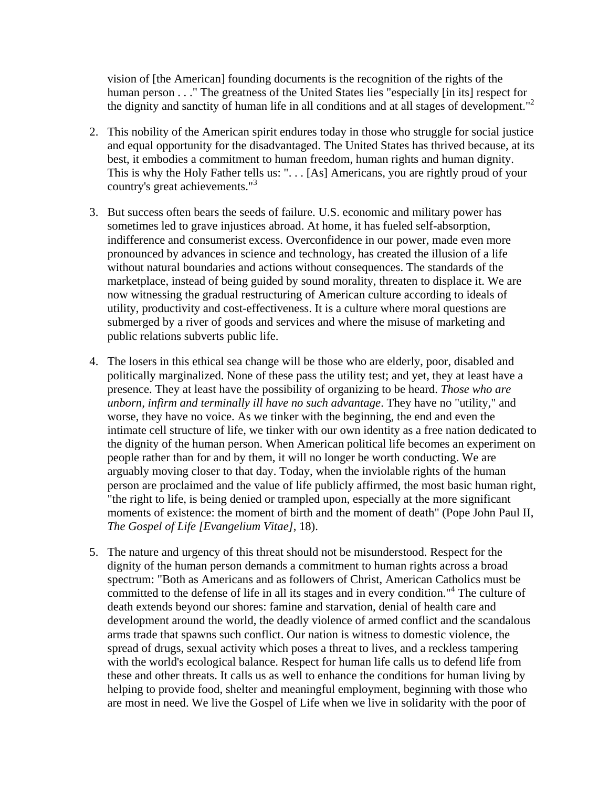vision of [the American] founding documents is the recognition of the rights of the human person . . ." The greatness of the United States lies "especially [in its] respect for the dignity and sanctity of human life in all conditions and at all stages of development."2

- 2. This nobility of the American spirit endures today in those who struggle for social justice and equal opportunity for the disadvantaged. The United States has thrived because, at its best, it embodies a commitment to human freedom, human rights and human dignity. This is why the Holy Father tells us: ". . . [As] Americans, you are rightly proud of your country's great achievements."<sup>3</sup>
- 3. But success often bears the seeds of failure. U.S. economic and military power has sometimes led to grave injustices abroad. At home, it has fueled self-absorption, indifference and consumerist excess. Overconfidence in our power, made even more pronounced by advances in science and technology, has created the illusion of a life without natural boundaries and actions without consequences. The standards of the marketplace, instead of being guided by sound morality, threaten to displace it. We are now witnessing the gradual restructuring of American culture according to ideals of utility, productivity and cost-effectiveness. It is a culture where moral questions are submerged by a river of goods and services and where the misuse of marketing and public relations subverts public life.
- 4. The losers in this ethical sea change will be those who are elderly, poor, disabled and politically marginalized. None of these pass the utility test; and yet, they at least have a presence. They at least have the possibility of organizing to be heard. *Those who are unborn, infirm and terminally ill have no such advantage*. They have no "utility," and worse, they have no voice. As we tinker with the beginning, the end and even the intimate cell structure of life, we tinker with our own identity as a free nation dedicated to the dignity of the human person. When American political life becomes an experiment on people rather than for and by them, it will no longer be worth conducting. We are arguably moving closer to that day. Today, when the inviolable rights of the human person are proclaimed and the value of life publicly affirmed, the most basic human right, "the right to life, is being denied or trampled upon, especially at the more significant moments of existence: the moment of birth and the moment of death" (Pope John Paul II, *The Gospel of Life [Evangelium Vitae]*, 18).
- 5. The nature and urgency of this threat should not be misunderstood. Respect for the dignity of the human person demands a commitment to human rights across a broad spectrum: "Both as Americans and as followers of Christ, American Catholics must be committed to the defense of life in all its stages and in every condition."<sup>4</sup> The culture of death extends beyond our shores: famine and starvation, denial of health care and development around the world, the deadly violence of armed conflict and the scandalous arms trade that spawns such conflict. Our nation is witness to domestic violence, the spread of drugs, sexual activity which poses a threat to lives, and a reckless tampering with the world's ecological balance. Respect for human life calls us to defend life from these and other threats. It calls us as well to enhance the conditions for human living by helping to provide food, shelter and meaningful employment, beginning with those who are most in need. We live the Gospel of Life when we live in solidarity with the poor of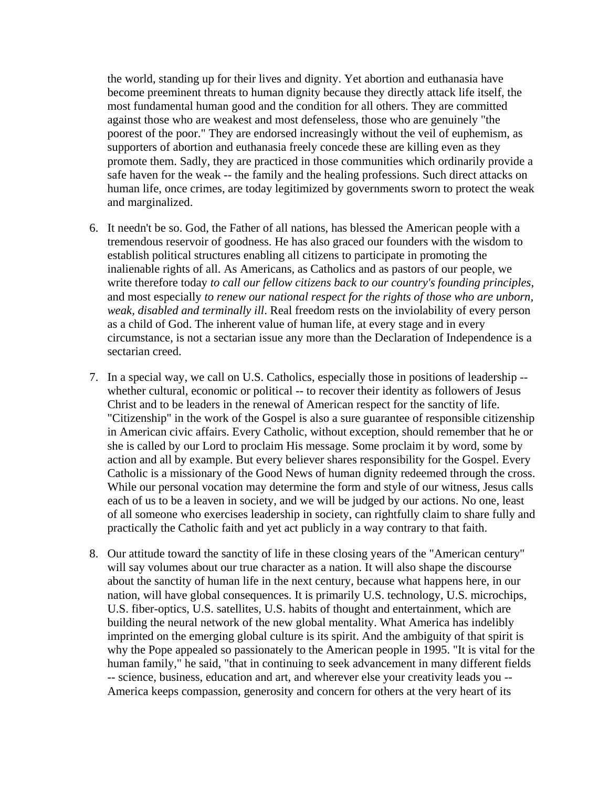the world, standing up for their lives and dignity. Yet abortion and euthanasia have become preeminent threats to human dignity because they directly attack life itself, the most fundamental human good and the condition for all others. They are committed against those who are weakest and most defenseless, those who are genuinely "the poorest of the poor." They are endorsed increasingly without the veil of euphemism, as supporters of abortion and euthanasia freely concede these are killing even as they promote them. Sadly, they are practiced in those communities which ordinarily provide a safe haven for the weak -- the family and the healing professions. Such direct attacks on human life, once crimes, are today legitimized by governments sworn to protect the weak and marginalized.

- 6. It needn't be so. God, the Father of all nations, has blessed the American people with a tremendous reservoir of goodness. He has also graced our founders with the wisdom to establish political structures enabling all citizens to participate in promoting the inalienable rights of all. As Americans, as Catholics and as pastors of our people, we write therefore today *to call our fellow citizens back to our country's founding principles*, and most especially *to renew our national respect for the rights of those who are unborn, weak, disabled and terminally ill*. Real freedom rests on the inviolability of every person as a child of God. The inherent value of human life, at every stage and in every circumstance, is not a sectarian issue any more than the Declaration of Independence is a sectarian creed.
- 7. In a special way, we call on U.S. Catholics, especially those in positions of leadership whether cultural, economic or political -- to recover their identity as followers of Jesus Christ and to be leaders in the renewal of American respect for the sanctity of life. "Citizenship" in the work of the Gospel is also a sure guarantee of responsible citizenship in American civic affairs. Every Catholic, without exception, should remember that he or she is called by our Lord to proclaim His message. Some proclaim it by word, some by action and all by example. But every believer shares responsibility for the Gospel. Every Catholic is a missionary of the Good News of human dignity redeemed through the cross. While our personal vocation may determine the form and style of our witness, Jesus calls each of us to be a leaven in society, and we will be judged by our actions. No one, least of all someone who exercises leadership in society, can rightfully claim to share fully and practically the Catholic faith and yet act publicly in a way contrary to that faith.
- 8. Our attitude toward the sanctity of life in these closing years of the "American century" will say volumes about our true character as a nation. It will also shape the discourse about the sanctity of human life in the next century, because what happens here, in our nation, will have global consequences. It is primarily U.S. technology, U.S. microchips, U.S. fiber-optics, U.S. satellites, U.S. habits of thought and entertainment, which are building the neural network of the new global mentality. What America has indelibly imprinted on the emerging global culture is its spirit. And the ambiguity of that spirit is why the Pope appealed so passionately to the American people in 1995. "It is vital for the human family," he said, "that in continuing to seek advancement in many different fields -- science, business, education and art, and wherever else your creativity leads you -- America keeps compassion, generosity and concern for others at the very heart of its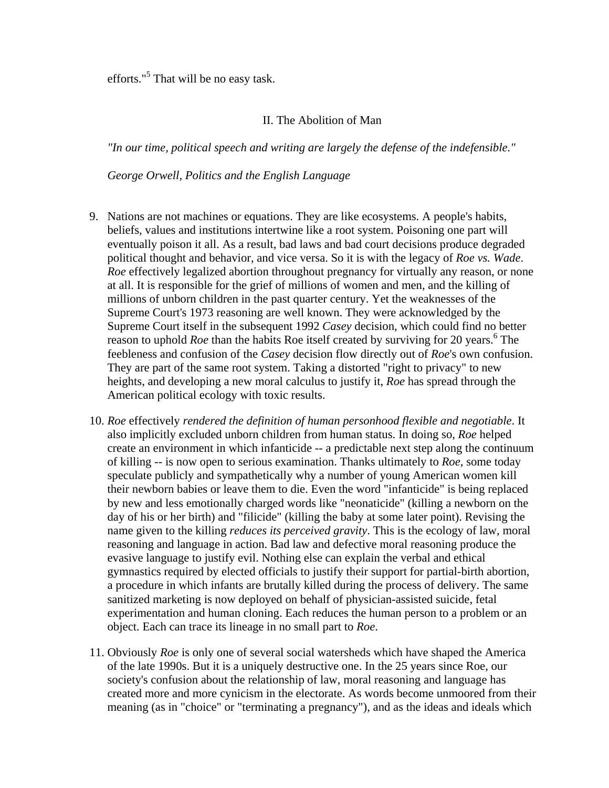efforts."<sup>5</sup> That will be no easy task.

## II. The Abolition of Man

*"In our time, political speech and writing are largely the defense of the indefensible."* 

*George Orwell, Politics and the English Language*

- 9. Nations are not machines or equations. They are like ecosystems. A people's habits, beliefs, values and institutions intertwine like a root system. Poisoning one part will eventually poison it all. As a result, bad laws and bad court decisions produce degraded political thought and behavior, and vice versa. So it is with the legacy of *Roe vs. Wade*. *Roe* effectively legalized abortion throughout pregnancy for virtually any reason, or none at all. It is responsible for the grief of millions of women and men, and the killing of millions of unborn children in the past quarter century. Yet the weaknesses of the Supreme Court's 1973 reasoning are well known. They were acknowledged by the Supreme Court itself in the subsequent 1992 *Casey* decision, which could find no better reason to uphold *Roe* than the habits Roe itself created by surviving for 20 years.<sup>6</sup> The feebleness and confusion of the *Casey* decision flow directly out of *Roe*'s own confusion. They are part of the same root system. Taking a distorted "right to privacy" to new heights, and developing a new moral calculus to justify it, *Roe* has spread through the American political ecology with toxic results.
- 10. *Roe* effectively *rendered the definition of human personhood flexible and negotiable*. It also implicitly excluded unborn children from human status. In doing so, *Roe* helped create an environment in which infanticide -- a predictable next step along the continuum of killing -- is now open to serious examination. Thanks ultimately to *Roe*, some today speculate publicly and sympathetically why a number of young American women kill their newborn babies or leave them to die. Even the word "infanticide" is being replaced by new and less emotionally charged words like "neonaticide" (killing a newborn on the day of his or her birth) and "filicide" (killing the baby at some later point). Revising the name given to the killing *reduces its perceived gravity*. This is the ecology of law, moral reasoning and language in action. Bad law and defective moral reasoning produce the evasive language to justify evil. Nothing else can explain the verbal and ethical gymnastics required by elected officials to justify their support for partial-birth abortion, a procedure in which infants are brutally killed during the process of delivery. The same sanitized marketing is now deployed on behalf of physician-assisted suicide, fetal experimentation and human cloning. Each reduces the human person to a problem or an object. Each can trace its lineage in no small part to *Roe*.
- 11. Obviously *Roe* is only one of several social watersheds which have shaped the America of the late 1990s. But it is a uniquely destructive one. In the 25 years since Roe, our society's confusion about the relationship of law, moral reasoning and language has created more and more cynicism in the electorate. As words become unmoored from their meaning (as in "choice" or "terminating a pregnancy"), and as the ideas and ideals which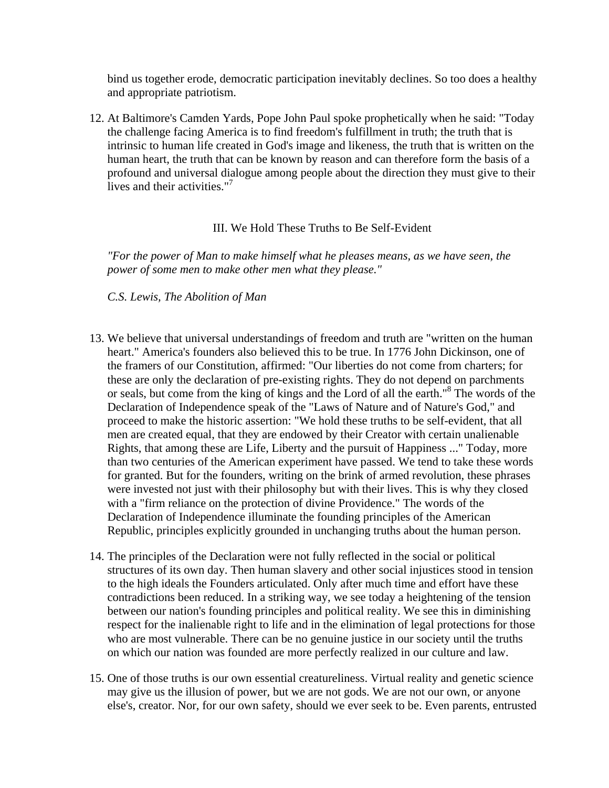bind us together erode, democratic participation inevitably declines. So too does a healthy and appropriate patriotism.

12. At Baltimore's Camden Yards, Pope John Paul spoke prophetically when he said: "Today the challenge facing America is to find freedom's fulfillment in truth; the truth that is intrinsic to human life created in God's image and likeness, the truth that is written on the human heart, the truth that can be known by reason and can therefore form the basis of a profound and universal dialogue among people about the direction they must give to their lives and their activities."<sup>7</sup>

## III. We Hold These Truths to Be Self-Evident

*"For the power of Man to make himself what he pleases means, as we have seen, the power of some men to make other men what they please."* 

*C.S. Lewis, The Abolition of Man*

- 13. We believe that universal understandings of freedom and truth are "written on the human heart." America's founders also believed this to be true. In 1776 John Dickinson, one of the framers of our Constitution, affirmed: "Our liberties do not come from charters; for these are only the declaration of pre-existing rights. They do not depend on parchments or seals, but come from the king of kings and the Lord of all the earth."<sup>8</sup> The words of the Declaration of Independence speak of the "Laws of Nature and of Nature's God," and proceed to make the historic assertion: "We hold these truths to be self-evident, that all men are created equal, that they are endowed by their Creator with certain unalienable Rights, that among these are Life, Liberty and the pursuit of Happiness ..." Today, more than two centuries of the American experiment have passed. We tend to take these words for granted. But for the founders, writing on the brink of armed revolution, these phrases were invested not just with their philosophy but with their lives. This is why they closed with a "firm reliance on the protection of divine Providence." The words of the Declaration of Independence illuminate the founding principles of the American Republic, principles explicitly grounded in unchanging truths about the human person.
- 14. The principles of the Declaration were not fully reflected in the social or political structures of its own day. Then human slavery and other social injustices stood in tension to the high ideals the Founders articulated. Only after much time and effort have these contradictions been reduced. In a striking way, we see today a heightening of the tension between our nation's founding principles and political reality. We see this in diminishing respect for the inalienable right to life and in the elimination of legal protections for those who are most vulnerable. There can be no genuine justice in our society until the truths on which our nation was founded are more perfectly realized in our culture and law.
- 15. One of those truths is our own essential creatureliness. Virtual reality and genetic science may give us the illusion of power, but we are not gods. We are not our own, or anyone else's, creator. Nor, for our own safety, should we ever seek to be. Even parents, entrusted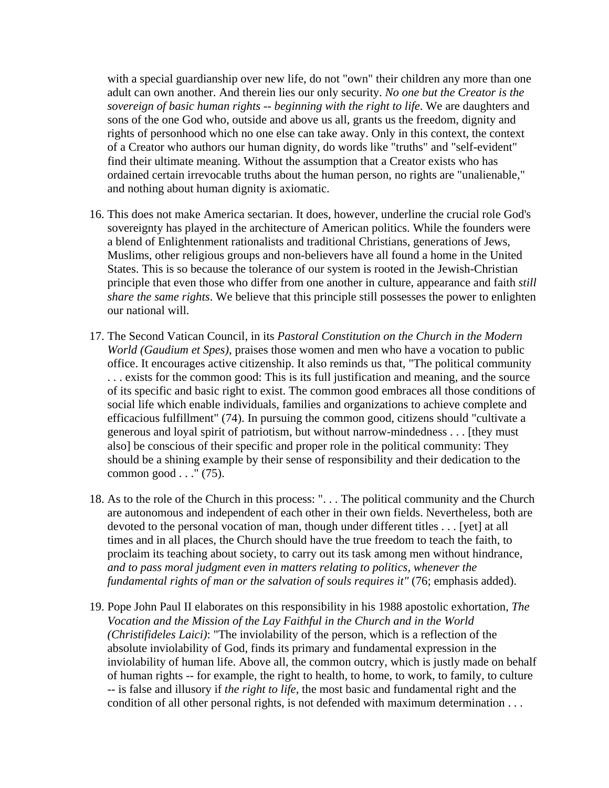with a special guardianship over new life, do not "own" their children any more than one adult can own another. And therein lies our only security. *No one but the Creator is the sovereign of basic human rights -- beginning with the right to life*. We are daughters and sons of the one God who, outside and above us all, grants us the freedom, dignity and rights of personhood which no one else can take away. Only in this context, the context of a Creator who authors our human dignity, do words like "truths" and "self-evident" find their ultimate meaning. Without the assumption that a Creator exists who has ordained certain irrevocable truths about the human person, no rights are "unalienable," and nothing about human dignity is axiomatic.

- 16. This does not make America sectarian. It does, however, underline the crucial role God's sovereignty has played in the architecture of American politics. While the founders were a blend of Enlightenment rationalists and traditional Christians, generations of Jews, Muslims, other religious groups and non-believers have all found a home in the United States. This is so because the tolerance of our system is rooted in the Jewish-Christian principle that even those who differ from one another in culture, appearance and faith *still share the same rights*. We believe that this principle still possesses the power to enlighten our national will.
- 17. The Second Vatican Council, in its *Pastoral Constitution on the Church in the Modern World (Gaudium et Spes)*, praises those women and men who have a vocation to public office. It encourages active citizenship. It also reminds us that, "The political community . . . exists for the common good: This is its full justification and meaning, and the source of its specific and basic right to exist. The common good embraces all those conditions of social life which enable individuals, families and organizations to achieve complete and efficacious fulfillment" (74). In pursuing the common good, citizens should "cultivate a generous and loyal spirit of patriotism, but without narrow-mindedness . . . [they must also] be conscious of their specific and proper role in the political community: They should be a shining example by their sense of responsibility and their dedication to the common good . . ." (75).
- 18. As to the role of the Church in this process: ". . . The political community and the Church are autonomous and independent of each other in their own fields. Nevertheless, both are devoted to the personal vocation of man, though under different titles . . . [yet] at all times and in all places, the Church should have the true freedom to teach the faith, to proclaim its teaching about society, to carry out its task among men without hindrance, *and to pass moral judgment even in matters relating to politics, whenever the fundamental rights of man or the salvation of souls requires it"* (76; emphasis added).
- 19. Pope John Paul II elaborates on this responsibility in his 1988 apostolic exhortation, *The Vocation and the Mission of the Lay Faithful in the Church and in the World (Christifideles Laici)*: "The inviolability of the person, which is a reflection of the absolute inviolability of God, finds its primary and fundamental expression in the inviolability of human life. Above all, the common outcry, which is justly made on behalf of human rights -- for example, the right to health, to home, to work, to family, to culture -- is false and illusory if *the right to life*, the most basic and fundamental right and the condition of all other personal rights, is not defended with maximum determination . . .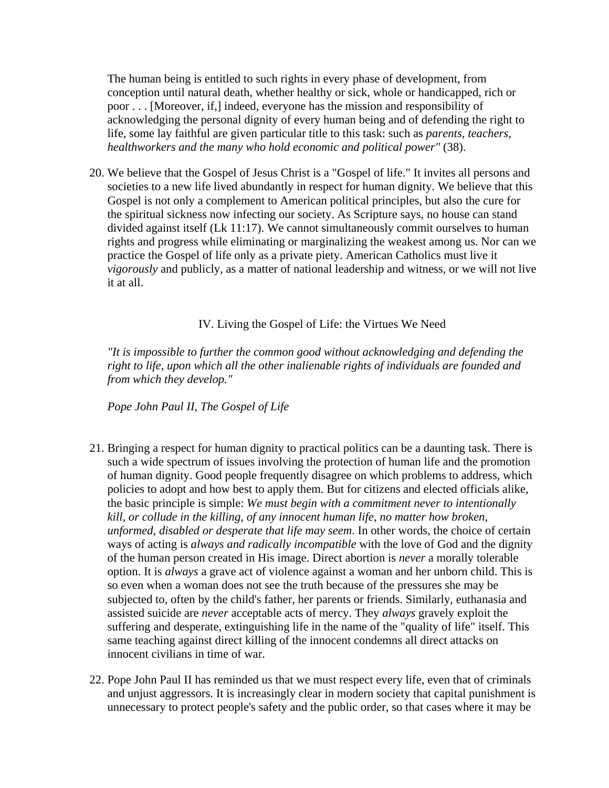The human being is entitled to such rights in every phase of development, from conception until natural death, whether healthy or sick, whole or handicapped, rich or poor . . . [Moreover, if,] indeed, everyone has the mission and responsibility of acknowledging the personal dignity of every human being and of defending the right to life, some lay faithful are given particular title to this task: such as *parents, teachers, healthworkers and the many who hold economic and political power"* (38).

20. We believe that the Gospel of Jesus Christ is a "Gospel of life." It invites all persons and societies to a new life lived abundantly in respect for human dignity. We believe that this Gospel is not only a complement to American political principles, but also the cure for the spiritual sickness now infecting our society. As Scripture says, no house can stand divided against itself (Lk 11:17). We cannot simultaneously commit ourselves to human rights and progress while eliminating or marginalizing the weakest among us. Nor can we practice the Gospel of life only as a private piety. American Catholics must live it *vigorously* and publicly, as a matter of national leadership and witness, or we will not live it at all.

## IV. Living the Gospel of Life: the Virtues We Need

*"It is impossible to further the common good without acknowledging and defending the right to life, upon which all the other inalienable rights of individuals are founded and from which they develop."* 

*Pope John Paul II, The Gospel of Life*

- 21. Bringing a respect for human dignity to practical politics can be a daunting task. There is such a wide spectrum of issues involving the protection of human life and the promotion of human dignity. Good people frequently disagree on which problems to address, which policies to adopt and how best to apply them. But for citizens and elected officials alike, the basic principle is simple: *We must begin with a commitment never to intentionally kill, or collude in the killing, of any innocent human life, no matter how broken, unformed, disabled or desperate that life may seem*. In other words, the choice of certain ways of acting is *always and radically incompatible* with the love of God and the dignity of the human person created in His image. Direct abortion is *never* a morally tolerable option. It is *always* a grave act of violence against a woman and her unborn child. This is so even when a woman does not see the truth because of the pressures she may be subjected to, often by the child's father, her parents or friends. Similarly, euthanasia and assisted suicide are *never* acceptable acts of mercy. They *always* gravely exploit the suffering and desperate, extinguishing life in the name of the "quality of life" itself. This same teaching against direct killing of the innocent condemns all direct attacks on innocent civilians in time of war.
- 22. Pope John Paul II has reminded us that we must respect every life, even that of criminals and unjust aggressors. It is increasingly clear in modern society that capital punishment is unnecessary to protect people's safety and the public order, so that cases where it may be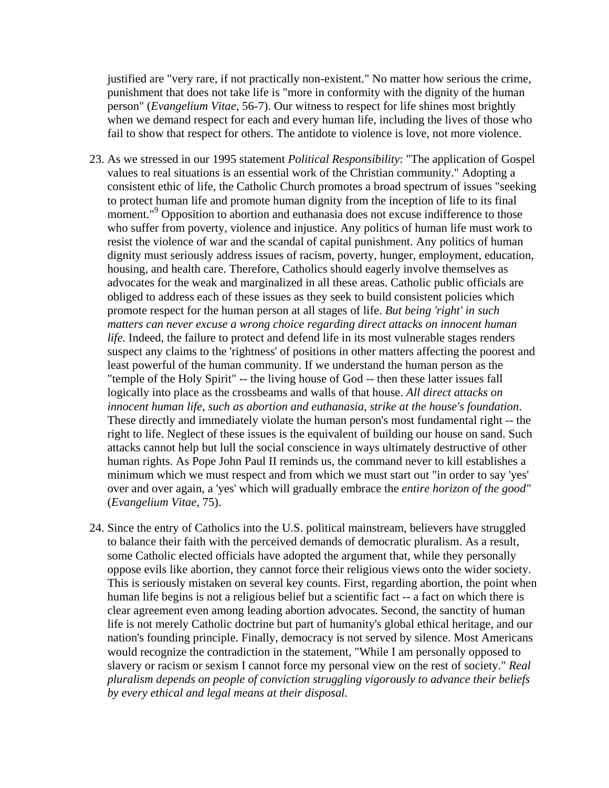justified are "very rare, if not practically non-existent." No matter how serious the crime, punishment that does not take life is "more in conformity with the dignity of the human person" (*Evangelium Vitae*, 56-7). Our witness to respect for life shines most brightly when we demand respect for each and every human life, including the lives of those who fail to show that respect for others. The antidote to violence is love, not more violence.

- 23. As we stressed in our 1995 statement *Political Responsibility*: "The application of Gospel values to real situations is an essential work of the Christian community." Adopting a consistent ethic of life, the Catholic Church promotes a broad spectrum of issues "seeking to protect human life and promote human dignity from the inception of life to its final moment."<sup>9</sup> Opposition to abortion and euthanasia does not excuse indifference to those who suffer from poverty, violence and injustice. Any politics of human life must work to resist the violence of war and the scandal of capital punishment. Any politics of human dignity must seriously address issues of racism, poverty, hunger, employment, education, housing, and health care. Therefore, Catholics should eagerly involve themselves as advocates for the weak and marginalized in all these areas. Catholic public officials are obliged to address each of these issues as they seek to build consistent policies which promote respect for the human person at all stages of life. *But being 'right' in such matters can never excuse a wrong choice regarding direct attacks on innocent human life.* Indeed, the failure to protect and defend life in its most vulnerable stages renders suspect any claims to the 'rightness' of positions in other matters affecting the poorest and least powerful of the human community. If we understand the human person as the "temple of the Holy Spirit" -- the living house of God -- then these latter issues fall logically into place as the crossbeams and walls of that house. *All direct attacks on innocent human life, such as abortion and euthanasia, strike at the house's foundation*. These directly and immediately violate the human person's most fundamental right -- the right to life. Neglect of these issues is the equivalent of building our house on sand. Such attacks cannot help but lull the social conscience in ways ultimately destructive of other human rights. As Pope John Paul II reminds us, the command never to kill establishes a minimum which we must respect and from which we must start out "in order to say 'yes' over and over again, a 'yes' which will gradually embrace the *entire horizon of the good"* (*Evangelium Vitae*, 75).
- 24. Since the entry of Catholics into the U.S. political mainstream, believers have struggled to balance their faith with the perceived demands of democratic pluralism. As a result, some Catholic elected officials have adopted the argument that, while they personally oppose evils like abortion, they cannot force their religious views onto the wider society. This is seriously mistaken on several key counts. First, regarding abortion, the point when human life begins is not a religious belief but a scientific fact -- a fact on which there is clear agreement even among leading abortion advocates. Second, the sanctity of human life is not merely Catholic doctrine but part of humanity's global ethical heritage, and our nation's founding principle. Finally, democracy is not served by silence. Most Americans would recognize the contradiction in the statement, "While I am personally opposed to slavery or racism or sexism I cannot force my personal view on the rest of society." *Real pluralism depends on people of conviction struggling vigorously to advance their beliefs by every ethical and legal means at their disposal.*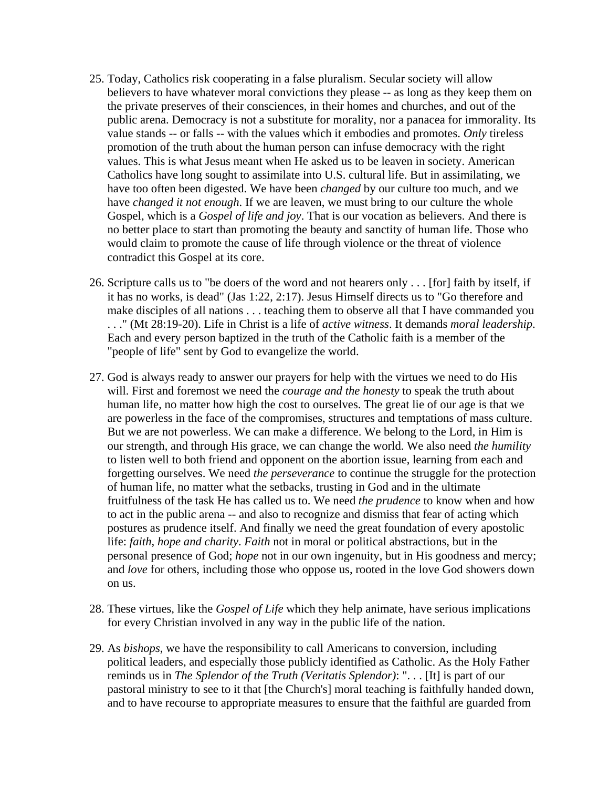- 25. Today, Catholics risk cooperating in a false pluralism. Secular society will allow believers to have whatever moral convictions they please -- as long as they keep them on the private preserves of their consciences, in their homes and churches, and out of the public arena. Democracy is not a substitute for morality, nor a panacea for immorality. Its value stands -- or falls -- with the values which it embodies and promotes. *Only* tireless promotion of the truth about the human person can infuse democracy with the right values. This is what Jesus meant when He asked us to be leaven in society. American Catholics have long sought to assimilate into U.S. cultural life. But in assimilating, we have too often been digested. We have been *changed* by our culture too much, and we have *changed it not enough*. If we are leaven, we must bring to our culture the whole Gospel, which is a *Gospel of life and joy*. That is our vocation as believers. And there is no better place to start than promoting the beauty and sanctity of human life. Those who would claim to promote the cause of life through violence or the threat of violence contradict this Gospel at its core.
- 26. Scripture calls us to "be doers of the word and not hearers only . . . [for] faith by itself, if it has no works, is dead" (Jas 1:22, 2:17). Jesus Himself directs us to "Go therefore and make disciples of all nations . . . teaching them to observe all that I have commanded you . . ." (Mt 28:19-20). Life in Christ is a life of *active witness*. It demands *moral leadership*. Each and every person baptized in the truth of the Catholic faith is a member of the "people of life" sent by God to evangelize the world.
- 27. God is always ready to answer our prayers for help with the virtues we need to do His will. First and foremost we need the *courage and the honesty* to speak the truth about human life, no matter how high the cost to ourselves. The great lie of our age is that we are powerless in the face of the compromises, structures and temptations of mass culture. But we are not powerless. We can make a difference. We belong to the Lord, in Him is our strength, and through His grace, we can change the world. We also need *the humility* to listen well to both friend and opponent on the abortion issue, learning from each and forgetting ourselves. We need *the perseverance* to continue the struggle for the protection of human life, no matter what the setbacks, trusting in God and in the ultimate fruitfulness of the task He has called us to. We need *the prudence* to know when and how to act in the public arena -- and also to recognize and dismiss that fear of acting which postures as prudence itself. And finally we need the great foundation of every apostolic life: *faith, hope and charity*. *Faith* not in moral or political abstractions, but in the personal presence of God; *hope* not in our own ingenuity, but in His goodness and mercy; and *love* for others, including those who oppose us, rooted in the love God showers down on us.
- 28. These virtues, like the *Gospel of Life* which they help animate, have serious implications for every Christian involved in any way in the public life of the nation.
- 29. As *bishops*, we have the responsibility to call Americans to conversion, including political leaders, and especially those publicly identified as Catholic. As the Holy Father reminds us in *The Splendor of the Truth (Veritatis Splendor)*: ". . . [It] is part of our pastoral ministry to see to it that [the Church's] moral teaching is faithfully handed down, and to have recourse to appropriate measures to ensure that the faithful are guarded from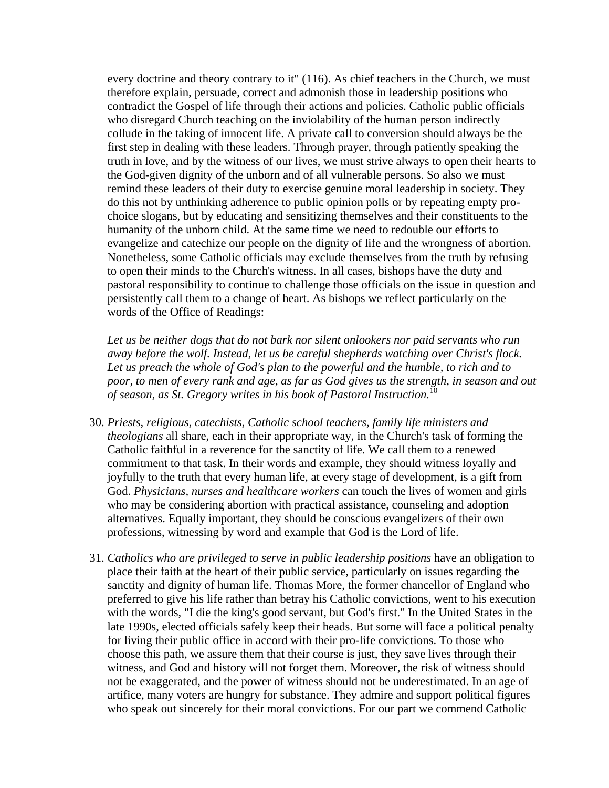every doctrine and theory contrary to it" (116). As chief teachers in the Church, we must therefore explain, persuade, correct and admonish those in leadership positions who contradict the Gospel of life through their actions and policies. Catholic public officials who disregard Church teaching on the inviolability of the human person indirectly collude in the taking of innocent life. A private call to conversion should always be the first step in dealing with these leaders. Through prayer, through patiently speaking the truth in love, and by the witness of our lives, we must strive always to open their hearts to the God-given dignity of the unborn and of all vulnerable persons. So also we must remind these leaders of their duty to exercise genuine moral leadership in society. They do this not by unthinking adherence to public opinion polls or by repeating empty prochoice slogans, but by educating and sensitizing themselves and their constituents to the humanity of the unborn child. At the same time we need to redouble our efforts to evangelize and catechize our people on the dignity of life and the wrongness of abortion. Nonetheless, some Catholic officials may exclude themselves from the truth by refusing to open their minds to the Church's witness. In all cases, bishops have the duty and pastoral responsibility to continue to challenge those officials on the issue in question and persistently call them to a change of heart. As bishops we reflect particularly on the words of the Office of Readings:

*Let us be neither dogs that do not bark nor silent onlookers nor paid servants who run away before the wolf. Instead, let us be careful shepherds watching over Christ's flock.*  Let us preach the whole of God's plan to the powerful and the humble, to rich and to *poor, to men of every rank and age, as far as God gives us the strength, in season and out of season, as St. Gregory writes in his book of Pastoral Instruction.*<sup>10</sup>

- 30. *Priests, religious, catechists, Catholic school teachers, family life ministers and theologians* all share, each in their appropriate way, in the Church's task of forming the Catholic faithful in a reverence for the sanctity of life. We call them to a renewed commitment to that task. In their words and example, they should witness loyally and joyfully to the truth that every human life, at every stage of development, is a gift from God. *Physicians, nurses and healthcare workers* can touch the lives of women and girls who may be considering abortion with practical assistance, counseling and adoption alternatives. Equally important, they should be conscious evangelizers of their own professions, witnessing by word and example that God is the Lord of life.
- 31. *Catholics who are privileged to serve in public leadership positions* have an obligation to place their faith at the heart of their public service, particularly on issues regarding the sanctity and dignity of human life. Thomas More, the former chancellor of England who preferred to give his life rather than betray his Catholic convictions, went to his execution with the words, "I die the king's good servant, but God's first." In the United States in the late 1990s, elected officials safely keep their heads. But some will face a political penalty for living their public office in accord with their pro-life convictions. To those who choose this path, we assure them that their course is just, they save lives through their witness, and God and history will not forget them. Moreover, the risk of witness should not be exaggerated, and the power of witness should not be underestimated. In an age of artifice, many voters are hungry for substance. They admire and support political figures who speak out sincerely for their moral convictions. For our part we commend Catholic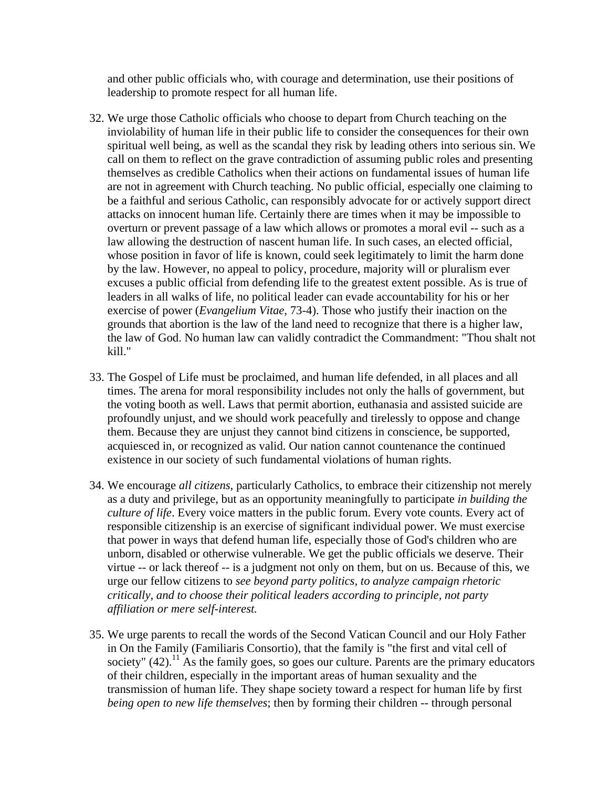and other public officials who, with courage and determination, use their positions of leadership to promote respect for all human life.

- 32. We urge those Catholic officials who choose to depart from Church teaching on the inviolability of human life in their public life to consider the consequences for their own spiritual well being, as well as the scandal they risk by leading others into serious sin. We call on them to reflect on the grave contradiction of assuming public roles and presenting themselves as credible Catholics when their actions on fundamental issues of human life are not in agreement with Church teaching. No public official, especially one claiming to be a faithful and serious Catholic, can responsibly advocate for or actively support direct attacks on innocent human life. Certainly there are times when it may be impossible to overturn or prevent passage of a law which allows or promotes a moral evil -- such as a law allowing the destruction of nascent human life. In such cases, an elected official, whose position in favor of life is known, could seek legitimately to limit the harm done by the law. However, no appeal to policy, procedure, majority will or pluralism ever excuses a public official from defending life to the greatest extent possible. As is true of leaders in all walks of life, no political leader can evade accountability for his or her exercise of power (*Evangelium Vitae*, 73-4). Those who justify their inaction on the grounds that abortion is the law of the land need to recognize that there is a higher law, the law of God. No human law can validly contradict the Commandment: "Thou shalt not kill."
- 33. The Gospel of Life must be proclaimed, and human life defended, in all places and all times. The arena for moral responsibility includes not only the halls of government, but the voting booth as well. Laws that permit abortion, euthanasia and assisted suicide are profoundly unjust, and we should work peacefully and tirelessly to oppose and change them. Because they are unjust they cannot bind citizens in conscience, be supported, acquiesced in, or recognized as valid. Our nation cannot countenance the continued existence in our society of such fundamental violations of human rights.
- 34. We encourage *all citizens*, particularly Catholics, to embrace their citizenship not merely as a duty and privilege, but as an opportunity meaningfully to participate *in building the culture of life*. Every voice matters in the public forum. Every vote counts. Every act of responsible citizenship is an exercise of significant individual power. We must exercise that power in ways that defend human life, especially those of God's children who are unborn, disabled or otherwise vulnerable. We get the public officials we deserve. Their virtue -- or lack thereof -- is a judgment not only on them, but on us. Because of this, we urge our fellow citizens to *see beyond party politics, to analyze campaign rhetoric critically, and to choose their political leaders according to principle, not party affiliation or mere self-interest.*
- 35. We urge parents to recall the words of the Second Vatican Council and our Holy Father in On the Family (Familiaris Consortio), that the family is "the first and vital cell of society"  $(42)$ .<sup>11</sup> As the family goes, so goes our culture. Parents are the primary educators of their children, especially in the important areas of human sexuality and the transmission of human life. They shape society toward a respect for human life by first *being open to new life themselves*; then by forming their children -- through personal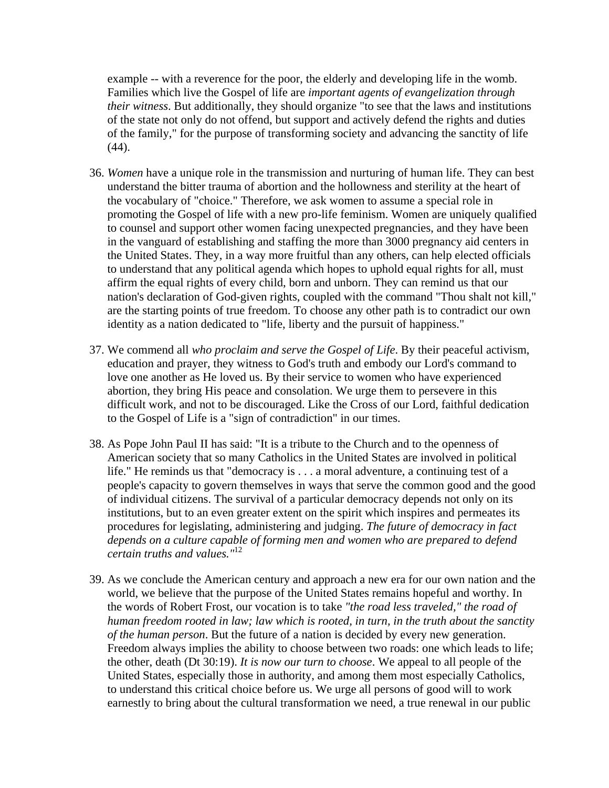example -- with a reverence for the poor, the elderly and developing life in the womb. Families which live the Gospel of life are *important agents of evangelization through their witness*. But additionally, they should organize "to see that the laws and institutions of the state not only do not offend, but support and actively defend the rights and duties of the family," for the purpose of transforming society and advancing the sanctity of life (44).

- 36. *Women* have a unique role in the transmission and nurturing of human life. They can best understand the bitter trauma of abortion and the hollowness and sterility at the heart of the vocabulary of "choice." Therefore, we ask women to assume a special role in promoting the Gospel of life with a new pro-life feminism. Women are uniquely qualified to counsel and support other women facing unexpected pregnancies, and they have been in the vanguard of establishing and staffing the more than 3000 pregnancy aid centers in the United States. They, in a way more fruitful than any others, can help elected officials to understand that any political agenda which hopes to uphold equal rights for all, must affirm the equal rights of every child, born and unborn. They can remind us that our nation's declaration of God-given rights, coupled with the command "Thou shalt not kill," are the starting points of true freedom. To choose any other path is to contradict our own identity as a nation dedicated to "life, liberty and the pursuit of happiness."
- 37. We commend all *who proclaim and serve the Gospel of Life*. By their peaceful activism, education and prayer, they witness to God's truth and embody our Lord's command to love one another as He loved us. By their service to women who have experienced abortion, they bring His peace and consolation. We urge them to persevere in this difficult work, and not to be discouraged. Like the Cross of our Lord, faithful dedication to the Gospel of Life is a "sign of contradiction" in our times.
- 38. As Pope John Paul II has said: "It is a tribute to the Church and to the openness of American society that so many Catholics in the United States are involved in political life." He reminds us that "democracy is . . . a moral adventure, a continuing test of a people's capacity to govern themselves in ways that serve the common good and the good of individual citizens. The survival of a particular democracy depends not only on its institutions, but to an even greater extent on the spirit which inspires and permeates its procedures for legislating, administering and judging. *The future of democracy in fact depends on a culture capable of forming men and women who are prepared to defend certain truths and values."*12
- 39. As we conclude the American century and approach a new era for our own nation and the world, we believe that the purpose of the United States remains hopeful and worthy. In the words of Robert Frost, our vocation is to take *"the road less traveled," the road of human freedom rooted in law; law which is rooted, in turn, in the truth about the sanctity of the human person*. But the future of a nation is decided by every new generation. Freedom always implies the ability to choose between two roads: one which leads to life; the other, death (Dt 30:19). *It is now our turn to choose*. We appeal to all people of the United States, especially those in authority, and among them most especially Catholics, to understand this critical choice before us. We urge all persons of good will to work earnestly to bring about the cultural transformation we need, a true renewal in our public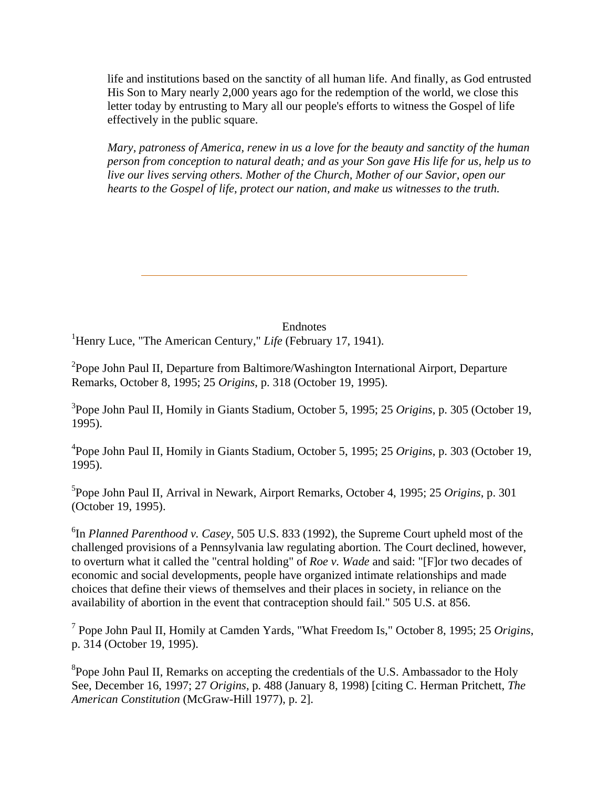life and institutions based on the sanctity of all human life. And finally, as God entrusted His Son to Mary nearly 2,000 years ago for the redemption of the world, we close this letter today by entrusting to Mary all our people's efforts to witness the Gospel of life effectively in the public square.

*Mary, patroness of America, renew in us a love for the beauty and sanctity of the human person from conception to natural death; and as your Son gave His life for us, help us to live our lives serving others. Mother of the Church, Mother of our Savior, open our hearts to the Gospel of life, protect our nation, and make us witnesses to the truth.*

Endnotes <sup>1</sup>Henry Luce, "The American Century," *Life* (February 17, 1941).

 $2$ Pope John Paul II, Departure from Baltimore/Washington International Airport, Departure Remarks, October 8, 1995; 25 *Origins*, p. 318 (October 19, 1995).

3 Pope John Paul II, Homily in Giants Stadium, October 5, 1995; 25 *Origins*, p. 305 (October 19, 1995).

4 Pope John Paul II, Homily in Giants Stadium, October 5, 1995; 25 *Origins*, p. 303 (October 19, 1995).

5 Pope John Paul II, Arrival in Newark, Airport Remarks, October 4, 1995; 25 *Origins*, p. 301 (October 19, 1995).

6 In *Planned Parenthood v. Casey*, 505 U.S. 833 (1992), the Supreme Court upheld most of the challenged provisions of a Pennsylvania law regulating abortion. The Court declined, however, to overturn what it called the "central holding" of *Roe v. Wade* and said: "[F]or two decades of economic and social developments, people have organized intimate relationships and made choices that define their views of themselves and their places in society, in reliance on the availability of abortion in the event that contraception should fail." 505 U.S. at 856.

7 Pope John Paul II, Homily at Camden Yards, "What Freedom Is," October 8, 1995; 25 *Origins*, p. 314 (October 19, 1995).

 ${}^{8}P$ ope John Paul II, Remarks on accepting the credentials of the U.S. Ambassador to the Holy See, December 16, 1997; 27 *Origins*, p. 488 (January 8, 1998) [citing C. Herman Pritchett, *The American Constitution* (McGraw-Hill 1977), p. 2].